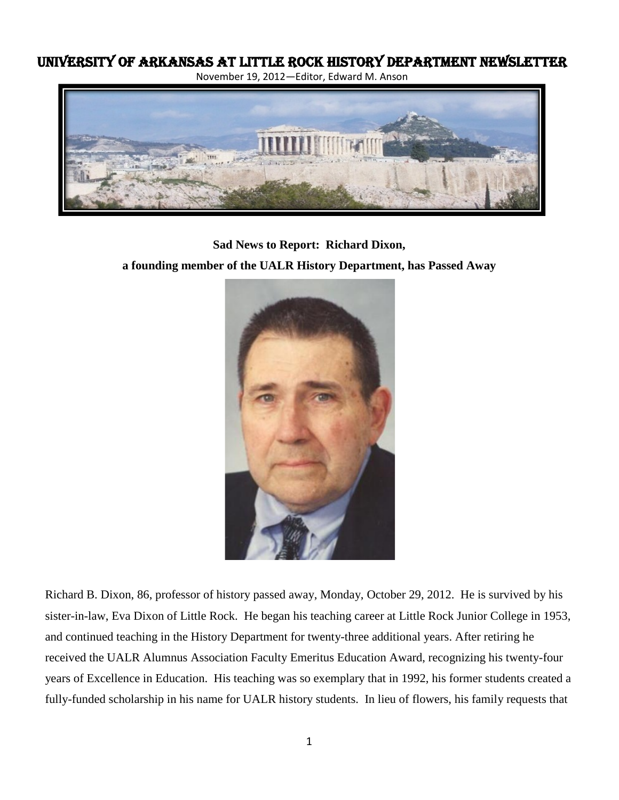# University of Arkansas at Little Rock History Department Newsletter

November 19, 2012—Editor, Edward M. Anson



**Sad News to Report: Richard Dixon,** 

**a founding member of the UALR History Department, has Passed Away**



Richard B. Dixon, 86, professor of history passed away, Monday, October 29, 2012. He is survived by his sister-in-law, Eva Dixon of Little Rock. He began his teaching career at Little Rock Junior College in 1953, and continued teaching in the History Department for twenty-three additional years. After retiring he received the UALR Alumnus Association Faculty Emeritus Education Award, recognizing his twenty-four years of Excellence in Education. His teaching was so exemplary that in 1992, his former students created a fully-funded scholarship in his name for UALR history students. In lieu of flowers, his family requests that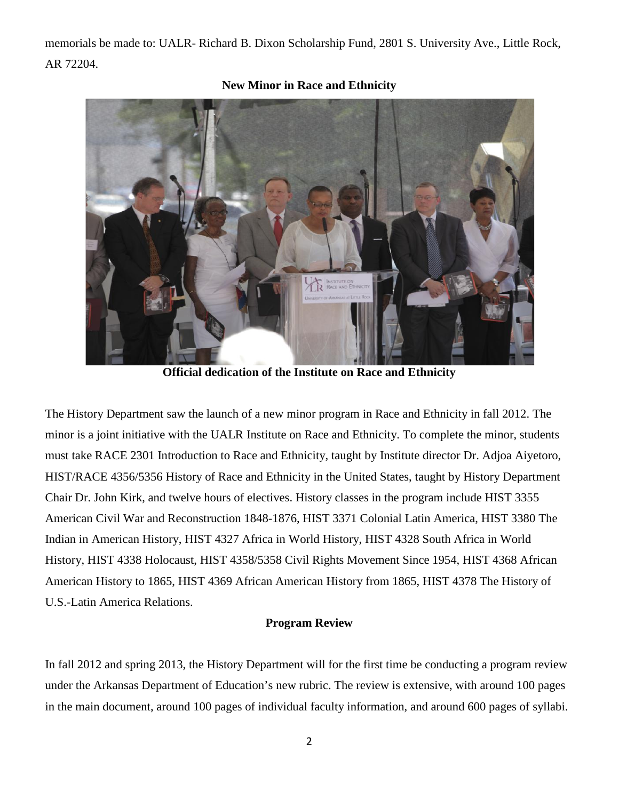memorials be made to: UALR- Richard B. Dixon Scholarship Fund, 2801 S. University Ave., Little Rock, AR 72204.



**New Minor in Race and Ethnicity**

**Official dedication of the Institute on Race and Ethnicity**

The History Department saw the launch of a new minor program in Race and Ethnicity in fall 2012. The minor is a joint initiative with the UALR Institute on Race and Ethnicity. To complete the minor, students must take RACE 2301 Introduction to Race and Ethnicity, taught by Institute director Dr. Adjoa Aiyetoro, HIST/RACE 4356/5356 History of Race and Ethnicity in the United States, taught by History Department Chair Dr. John Kirk, and twelve hours of electives. History classes in the program include HIST 3355 American Civil War and Reconstruction 1848-1876, HIST 3371 Colonial Latin America, HIST 3380 The Indian in American History, HIST 4327 Africa in World History, HIST 4328 South Africa in World History, HIST 4338 Holocaust, HIST 4358/5358 Civil Rights Movement Since 1954, HIST 4368 African American History to 1865, HIST 4369 African American History from 1865, HIST 4378 The History of U.S.-Latin America Relations.

# **Program Review**

In fall 2012 and spring 2013, the History Department will for the first time be conducting a program review under the Arkansas Department of Education's new rubric. The review is extensive, with around 100 pages in the main document, around 100 pages of individual faculty information, and around 600 pages of syllabi.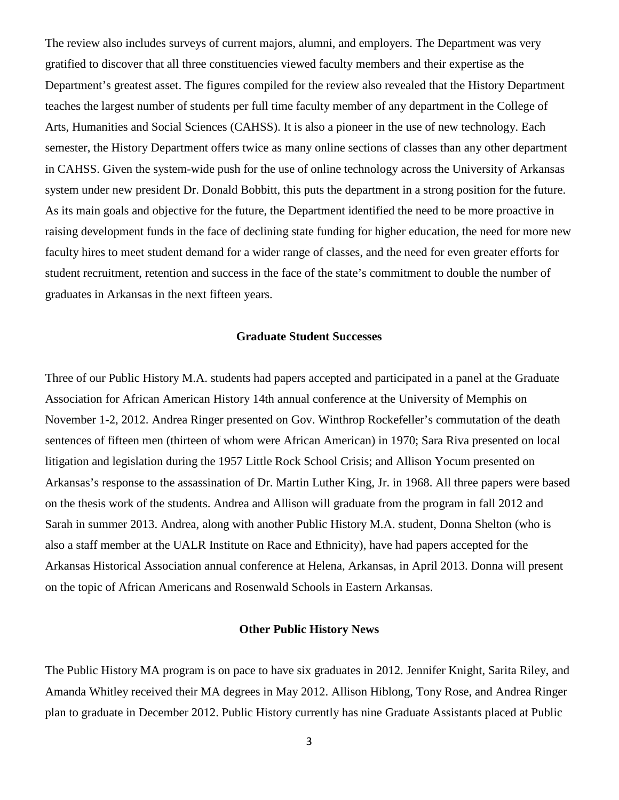The review also includes surveys of current majors, alumni, and employers. The Department was very gratified to discover that all three constituencies viewed faculty members and their expertise as the Department's greatest asset. The figures compiled for the review also revealed that the History Department teaches the largest number of students per full time faculty member of any department in the College of Arts, Humanities and Social Sciences (CAHSS). It is also a pioneer in the use of new technology. Each semester, the History Department offers twice as many online sections of classes than any other department in CAHSS. Given the system-wide push for the use of online technology across the University of Arkansas system under new president Dr. Donald Bobbitt, this puts the department in a strong position for the future. As its main goals and objective for the future, the Department identified the need to be more proactive in raising development funds in the face of declining state funding for higher education, the need for more new faculty hires to meet student demand for a wider range of classes, and the need for even greater efforts for student recruitment, retention and success in the face of the state's commitment to double the number of graduates in Arkansas in the next fifteen years.

#### **Graduate Student Successes**

Three of our Public History M.A. students had papers accepted and participated in a panel at the Graduate Association for African American History 14th annual conference at the University of Memphis on November 1-2, 2012. Andrea Ringer presented on Gov. Winthrop Rockefeller's commutation of the death sentences of fifteen men (thirteen of whom were African American) in 1970; Sara Riva presented on local litigation and legislation during the 1957 Little Rock School Crisis; and Allison Yocum presented on Arkansas's response to the assassination of Dr. Martin Luther King, Jr. in 1968. All three papers were based on the thesis work of the students. Andrea and Allison will graduate from the program in fall 2012 and Sarah in summer 2013. Andrea, along with another Public History M.A. student, Donna Shelton (who is also a staff member at the UALR Institute on Race and Ethnicity), have had papers accepted for the Arkansas Historical Association annual conference at Helena, Arkansas, in April 2013. Donna will present on the topic of African Americans and Rosenwald Schools in Eastern Arkansas.

#### **Other Public History News**

The Public History MA program is on pace to have six graduates in 2012. Jennifer Knight, Sarita Riley, and Amanda Whitley received their MA degrees in May 2012. Allison Hiblong, Tony Rose, and Andrea Ringer plan to graduate in December 2012. Public History currently has nine Graduate Assistants placed at Public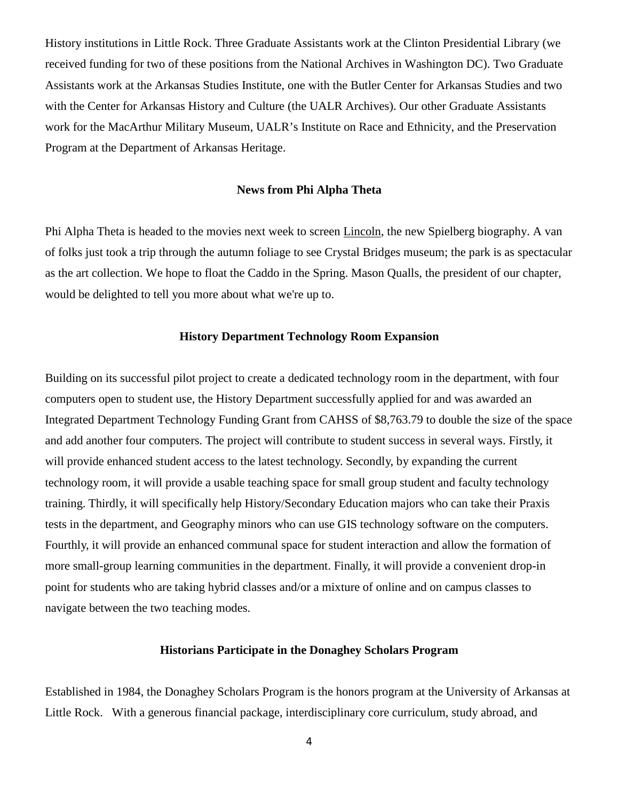History institutions in Little Rock. Three Graduate Assistants work at the Clinton Presidential Library (we received funding for two of these positions from the National Archives in Washington DC). Two Graduate Assistants work at the Arkansas Studies Institute, one with the Butler Center for Arkansas Studies and two with the Center for Arkansas History and Culture (the UALR Archives). Our other Graduate Assistants work for the MacArthur Military Museum, UALR's Institute on Race and Ethnicity, and the Preservation Program at the Department of Arkansas Heritage.

### **News from Phi Alpha Theta**

Phi Alpha Theta is headed to the movies next week to screen Lincoln, the new Spielberg biography. A van of folks just took a trip through the autumn foliage to see Crystal Bridges museum; the park is as spectacular as the art collection. We hope to float the Caddo in the Spring. Mason Qualls, the president of our chapter, would be delighted to tell you more about what we're up to.

## **History Department Technology Room Expansion**

Building on its successful pilot project to create a dedicated technology room in the department, with four computers open to student use, the History Department successfully applied for and was awarded an Integrated Department Technology Funding Grant from CAHSS of \$8,763.79 to double the size of the space and add another four computers. The project will contribute to student success in several ways. Firstly, it will provide enhanced student access to the latest technology. Secondly, by expanding the current technology room, it will provide a usable teaching space for small group student and faculty technology training. Thirdly, it will specifically help History/Secondary Education majors who can take their Praxis tests in the department, and Geography minors who can use GIS technology software on the computers. Fourthly, it will provide an enhanced communal space for student interaction and allow the formation of more small-group learning communities in the department. Finally, it will provide a convenient drop-in point for students who are taking hybrid classes and/or a mixture of online and on campus classes to navigate between the two teaching modes.

### **Historians Participate in the Donaghey Scholars Program**

Established in 1984, the Donaghey Scholars Program is the honors program at the University of Arkansas at Little Rock. With a generous financial package, interdisciplinary core curriculum, study abroad, and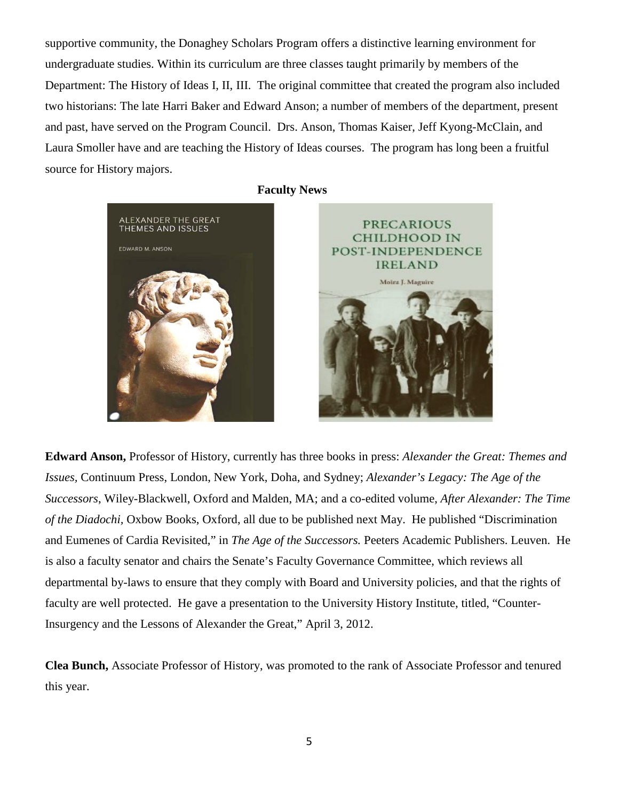supportive community, the Donaghey Scholars Program offers a distinctive learning environment for undergraduate studies. Within its curriculum are three classes taught primarily by members of the Department: The History of Ideas I, II, III. The original committee that created the program also included two historians: The late Harri Baker and Edward Anson; a number of members of the department, present and past, have served on the Program Council. Drs. Anson, Thomas Kaiser, Jeff Kyong-McClain, and Laura Smoller have and are teaching the History of Ideas courses. The program has long been a fruitful source for History majors.



 **Faculty News**



**Edward Anson,** Professor of History, currently has three books in press: *Alexander the Great: Themes and Issues,* Continuum Press, London, New York, Doha, and Sydney; *Alexander's Legacy: The Age of the Successors*, Wiley-Blackwell, Oxford and Malden, MA; and a co-edited volume, *After Alexander: The Time of the Diadochi,* Oxbow Books, Oxford, all due to be published next May. He published "Discrimination and Eumenes of Cardia Revisited," in *The Age of the Successors.* Peeters Academic Publishers. Leuven. He is also a faculty senator and chairs the Senate's Faculty Governance Committee, which reviews all departmental by-laws to ensure that they comply with Board and University policies, and that the rights of faculty are well protected. He gave a presentation to the University History Institute, titled, "Counter-Insurgency and the Lessons of Alexander the Great," April 3, 2012.

**Clea Bunch,** Associate Professor of History, was promoted to the rank of Associate Professor and tenured this year.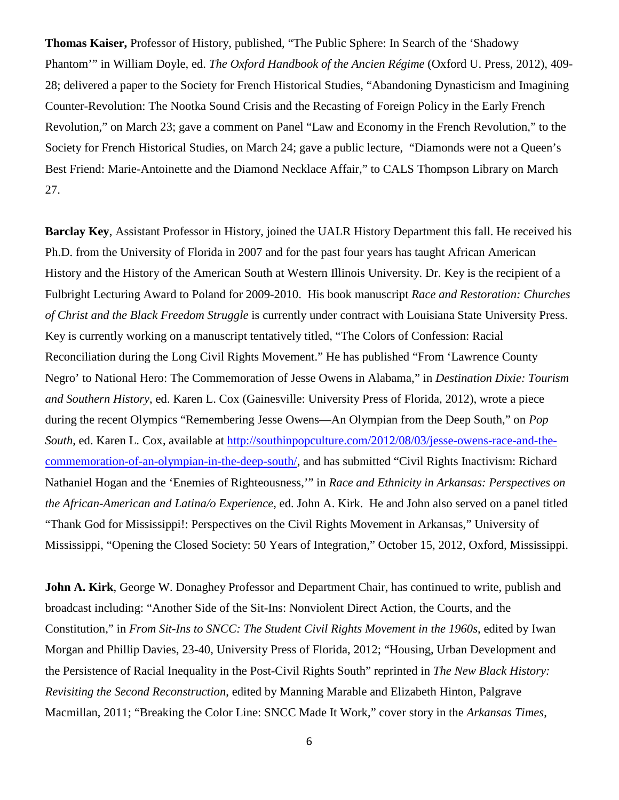**Thomas Kaiser,** Professor of History, published, "The Public Sphere: In Search of the 'Shadowy Phantom'" in William Doyle, ed. *The Oxford Handbook of the Ancien Régime* (Oxford U. Press, 2012), 409- 28; delivered a paper to the Society for French Historical Studies, "Abandoning Dynasticism and Imagining Counter-Revolution: The Nootka Sound Crisis and the Recasting of Foreign Policy in the Early French Revolution," on March 23; gave a comment on Panel "Law and Economy in the French Revolution," to the Society for French Historical Studies, on March 24; gave a public lecture, "Diamonds were not a Queen's Best Friend: Marie-Antoinette and the Diamond Necklace Affair," to CALS Thompson Library on March 27.

**Barclay Key**, Assistant Professor in History, joined the UALR History Department this fall. He received his Ph.D. from the University of Florida in 2007 and for the past four years has taught African American History and the History of the American South at Western Illinois University. Dr. Key is the recipient of a Fulbright Lecturing Award to Poland for 2009-2010. His book manuscript *Race and Restoration: Churches of Christ and the Black Freedom Struggle* is currently under contract with Louisiana State University Press. Key is currently working on a manuscript tentatively titled, "The Colors of Confession: Racial Reconciliation during the Long Civil Rights Movement." He has published "From 'Lawrence County Negro' to National Hero: The Commemoration of Jesse Owens in Alabama," in *Destination Dixie: Tourism and Southern History*, ed. Karen L. Cox (Gainesville: University Press of Florida, 2012), wrote a piece during the recent Olympics "Remembering Jesse Owens—An Olympian from the Deep South," on *Pop South*, ed. Karen L. Cox, available at [http://southinpopculture.com/2012/08/03/jesse-owens-race-and-the](http://southinpopculture.com/2012/08/03/jesse-owens-race-and-the-commemoration-of-an-olympian-in-the-deep-south/)[commemoration-of-an-olympian-in-the-deep-south/,](http://southinpopculture.com/2012/08/03/jesse-owens-race-and-the-commemoration-of-an-olympian-in-the-deep-south/) and has submitted "Civil Rights Inactivism: Richard Nathaniel Hogan and the 'Enemies of Righteousness,'" in *Race and Ethnicity in Arkansas: Perspectives on the African-American and Latina/o Experience*, ed. John A. Kirk. He and John also served on a panel titled "Thank God for Mississippi!: Perspectives on the Civil Rights Movement in Arkansas," University of Mississippi, "Opening the Closed Society: 50 Years of Integration," October 15, 2012, Oxford, Mississippi.

**John A. Kirk**, George W. Donaghey Professor and Department Chair, has continued to write, publish and broadcast including: "Another Side of the Sit-Ins: Nonviolent Direct Action, the Courts, and the Constitution," in *From Sit-Ins to SNCC: The Student Civil Rights Movement in the 1960s*, edited by Iwan Morgan and Phillip Davies, 23-40, University Press of Florida, 2012; "Housing, Urban Development and the Persistence of Racial Inequality in the Post-Civil Rights South" reprinted in *The New Black History: Revisiting the Second Reconstruction*, edited by Manning Marable and Elizabeth Hinton, Palgrave Macmillan, 2011; "Breaking the Color Line: SNCC Made It Work," cover story in the *Arkansas Times*,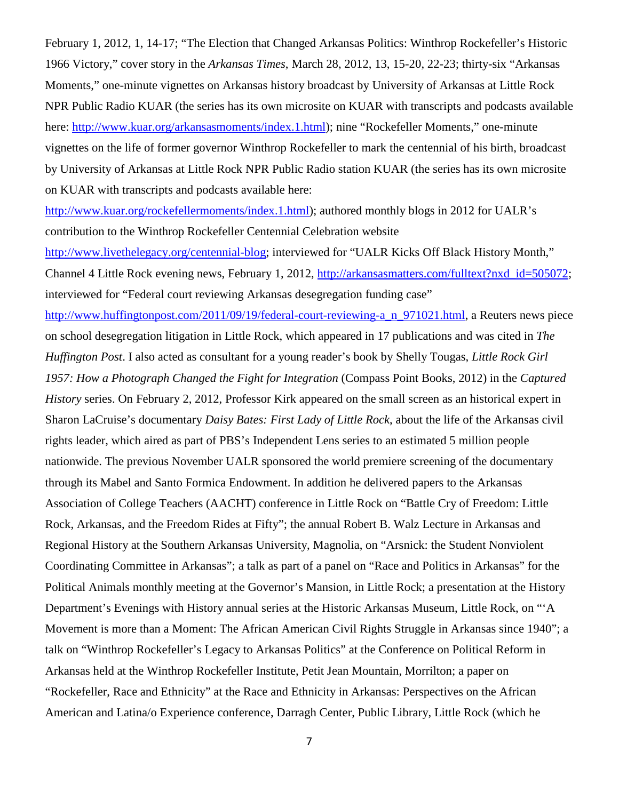February 1, 2012, 1, 14-17; "The Election that Changed Arkansas Politics: Winthrop Rockefeller's Historic 1966 Victory," cover story in the *Arkansas Times*, March 28, 2012, 13, 15-20, 22-23; thirty-six "Arkansas Moments," one-minute vignettes on Arkansas history broadcast by University of Arkansas at Little Rock NPR Public Radio KUAR (the series has its own microsite on KUAR with transcripts and podcasts available here: [http://www.kuar.org/arkansasmoments/index.1.html\)](http://www.kuar.org/arkansasmoments/index.1.html); nine "Rockefeller Moments," one-minute vignettes on the life of former governor Winthrop Rockefeller to mark the centennial of his birth, broadcast by University of Arkansas at Little Rock NPR Public Radio station KUAR (the series has its own microsite on KUAR with transcripts and podcasts available here:

[http://www.kuar.org/rockefellermoments/index.1.html\)](http://www.kuar.org/rockefellermoments/index.1.html); authored monthly blogs in 2012 for UALR's contribution to the Winthrop Rockefeller Centennial Celebration website

[http://www.livethelegacy.org/centennial-blog;](http://www.livethelegacy.org/centennial-blog) interviewed for "UALR Kicks Off Black History Month," Channel 4 Little Rock evening news, February 1, 2012, [http://arkansasmatters.com/fulltext?nxd\\_id=505072;](http://arkansasmatters.com/fulltext?nxd_id=505072) interviewed for "Federal court reviewing Arkansas desegregation funding case"

[http://www.huffingtonpost.com/2011/09/19/federal-court-reviewing-a\\_n\\_971021.html,](http://www.huffingtonpost.com/2011/09/19/federal-court-reviewing-a_n_971021.html) a Reuters news piece on school desegregation litigation in Little Rock, which appeared in 17 publications and was cited in *The Huffington Post*. I also acted as consultant for a young reader's book by Shelly Tougas, *Little Rock Girl 1957: How a Photograph Changed the Fight for Integration* (Compass Point Books, 2012) in the *Captured History* series. On February 2, 2012, Professor Kirk appeared on the small screen as an historical expert in Sharon LaCruise's documentary *Daisy Bates: First Lady of Little Rock*, about the life of the Arkansas civil rights leader, which aired as part of PBS's Independent Lens series to an estimated 5 million people nationwide. The previous November UALR sponsored the world premiere screening of the documentary through its Mabel and Santo Formica Endowment. In addition he delivered papers to the Arkansas Association of College Teachers (AACHT) conference in Little Rock on "Battle Cry of Freedom: Little Rock, Arkansas, and the Freedom Rides at Fifty"; the annual Robert B. Walz Lecture in Arkansas and Regional History at the Southern Arkansas University, Magnolia, on "Arsnick: the Student Nonviolent Coordinating Committee in Arkansas"; a talk as part of a panel on "Race and Politics in Arkansas" for the Political Animals monthly meeting at the Governor's Mansion, in Little Rock; a presentation at the History Department's Evenings with History annual series at the Historic Arkansas Museum, Little Rock, on "'A Movement is more than a Moment: The African American Civil Rights Struggle in Arkansas since 1940"; a talk on "Winthrop Rockefeller's Legacy to Arkansas Politics" at the Conference on Political Reform in Arkansas held at the Winthrop Rockefeller Institute, Petit Jean Mountain, Morrilton; a paper on "Rockefeller, Race and Ethnicity" at the Race and Ethnicity in Arkansas: Perspectives on the African American and Latina/o Experience conference, Darragh Center, Public Library, Little Rock (which he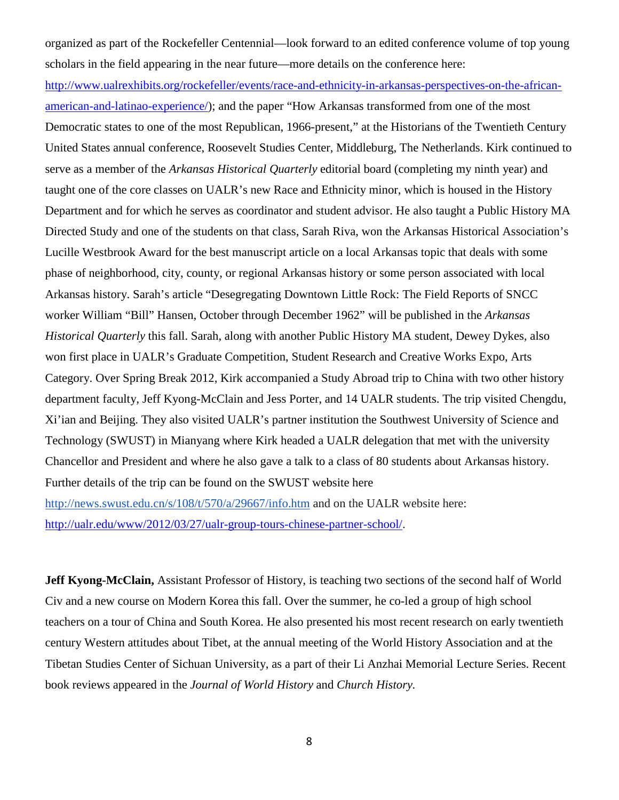organized as part of the Rockefeller Centennial—look forward to an edited conference volume of top young scholars in the field appearing in the near future—more details on the conference here:

[http://www.ualrexhibits.org/rockefeller/events/race-and-ethnicity-in-arkansas-perspectives-on-the-african](http://www.ualrexhibits.org/rockefeller/events/race-and-ethnicity-in-arkansas-perspectives-on-the-african-american-and-latinao-experience/)[american-and-latinao-experience/\)](http://www.ualrexhibits.org/rockefeller/events/race-and-ethnicity-in-arkansas-perspectives-on-the-african-american-and-latinao-experience/); and the paper "How Arkansas transformed from one of the most Democratic states to one of the most Republican, 1966-present," at the Historians of the Twentieth Century United States annual conference, Roosevelt Studies Center, Middleburg, The Netherlands. Kirk continued to serve as a member of the *Arkansas Historical Quarterly* editorial board (completing my ninth year) and taught one of the core classes on UALR's new Race and Ethnicity minor, which is housed in the History Department and for which he serves as coordinator and student advisor. He also taught a Public History MA Directed Study and one of the students on that class, Sarah Riva, won the Arkansas Historical Association's Lucille Westbrook Award for the best manuscript article on a local Arkansas topic that deals with some phase of neighborhood, city, county, or regional Arkansas history or some person associated with local Arkansas history. Sarah's article "Desegregating Downtown Little Rock: The Field Reports of SNCC worker William "Bill" Hansen, October through December 1962" will be published in the *Arkansas Historical Quarterly* this fall. Sarah, along with another Public History MA student, Dewey Dykes, also won first place in UALR's Graduate Competition, Student Research and Creative Works Expo, Arts Category. Over Spring Break 2012, Kirk accompanied a Study Abroad trip to China with two other history department faculty, Jeff Kyong-McClain and Jess Porter, and 14 UALR students. The trip visited Chengdu, Xi'ian and Beijing. They also visited UALR's partner institution the Southwest University of Science and Technology (SWUST) in Mianyang where Kirk headed a UALR delegation that met with the university Chancellor and President and where he also gave a talk to a class of 80 students about Arkansas history. Further details of the trip can be found on the SWUST website here <http://news.swust.edu.cn/s/108/t/570/a/29667/info.htm> and on the UALR website here: [http://ualr.edu/www/2012/03/27/ualr-group-tours-chinese-partner-school/.](http://ualr.edu/www/2012/03/27/ualr-group-tours-chinese-partner-school/)

**Jeff Kyong-McClain,** Assistant Professor of History, is teaching two sections of the second half of World Civ and a new course on Modern Korea this fall. Over the summer, he co-led a group of high school teachers on a tour of China and South Korea. He also presented his most recent research on early twentieth century Western attitudes about Tibet, at the annual meeting of the World History Association and at the Tibetan Studies Center of Sichuan University, as a part of their Li Anzhai Memorial Lecture Series. Recent book reviews appeared in the *Journal of World History* and *Church History.*

8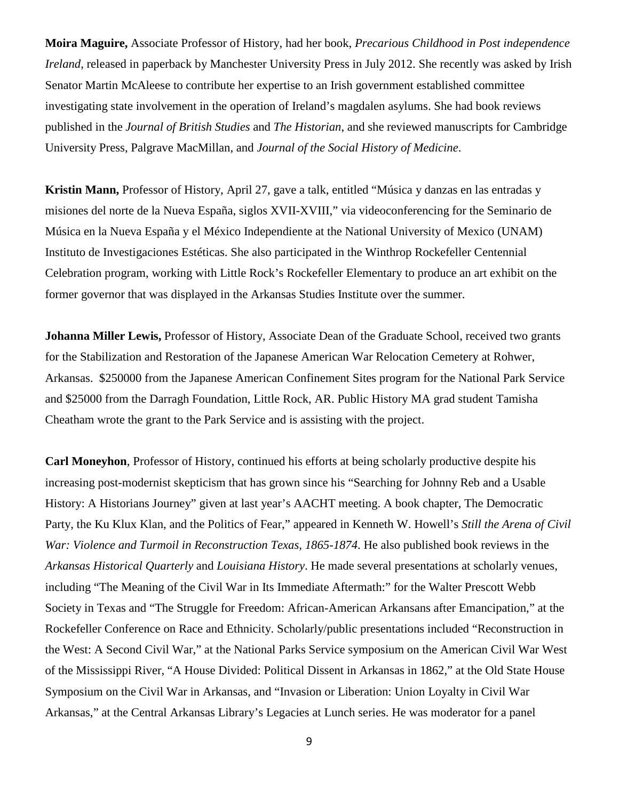**Moira Maguire,** Associate Professor of History, had her book, *Precarious Childhood in Post independence Ireland*, released in paperback by Manchester University Press in July 2012. She recently was asked by Irish Senator Martin McAleese to contribute her expertise to an Irish government established committee investigating state involvement in the operation of Ireland's magdalen asylums. She had book reviews published in the *Journal of British Studies* and *The Historian*, and she reviewed manuscripts for Cambridge University Press, Palgrave MacMillan, and *Journal of the Social History of Medicine*.

**Kristin Mann,** Professor of History, April 27, gave a talk, entitled "Música y danzas en las entradas y misiones del norte de la Nueva España, siglos XVII-XVIII," via videoconferencing for the Seminario de Música en la Nueva España y el México Independiente at the National University of Mexico (UNAM) Instituto de Investigaciones Estéticas. She also participated in the Winthrop Rockefeller Centennial Celebration program, working with Little Rock's Rockefeller Elementary to produce an art exhibit on the former governor that was displayed in the Arkansas Studies Institute over the summer.

**Johanna Miller Lewis,** Professor of History, Associate Dean of the Graduate School, received two grants for the Stabilization and Restoration of the Japanese American War Relocation Cemetery at Rohwer, Arkansas. \$250000 from the Japanese American Confinement Sites program for the National Park Service and \$25000 from the Darragh Foundation, Little Rock, AR. Public History MA grad student Tamisha Cheatham wrote the grant to the Park Service and is assisting with the project.

**Carl Moneyhon**, Professor of History, continued his efforts at being scholarly productive despite his increasing post-modernist skepticism that has grown since his "Searching for Johnny Reb and a Usable History: A Historians Journey" given at last year's AACHT meeting. A book chapter, The Democratic Party, the Ku Klux Klan, and the Politics of Fear," appeared in Kenneth W. Howell's *Still the Arena of Civil War: Violence and Turmoil in Reconstruction Texas, 1865-1874*. He also published book reviews in the *Arkansas Historical Quarterly* and *Louisiana History*. He made several presentations at scholarly venues, including "The Meaning of the Civil War in Its Immediate Aftermath:" for the Walter Prescott Webb Society in Texas and "The Struggle for Freedom: African-American Arkansans after Emancipation," at the Rockefeller Conference on Race and Ethnicity. Scholarly/public presentations included "Reconstruction in the West: A Second Civil War," at the National Parks Service symposium on the American Civil War West of the Mississippi River, "A House Divided: Political Dissent in Arkansas in 1862," at the Old State House Symposium on the Civil War in Arkansas, and "Invasion or Liberation: Union Loyalty in Civil War Arkansas," at the Central Arkansas Library's Legacies at Lunch series. He was moderator for a panel

9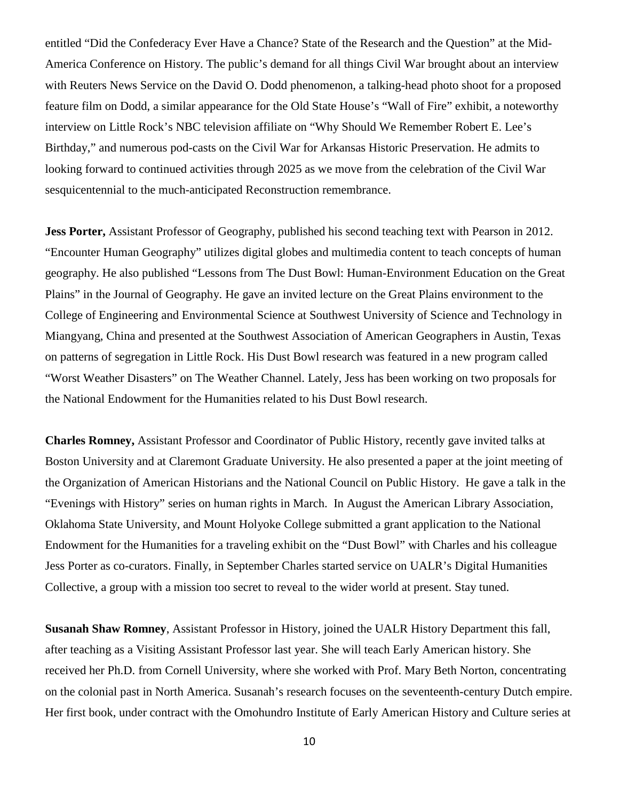entitled "Did the Confederacy Ever Have a Chance? State of the Research and the Question" at the Mid-America Conference on History. The public's demand for all things Civil War brought about an interview with Reuters News Service on the David O. Dodd phenomenon, a talking-head photo shoot for a proposed feature film on Dodd, a similar appearance for the Old State House's "Wall of Fire" exhibit, a noteworthy interview on Little Rock's NBC television affiliate on "Why Should We Remember Robert E. Lee's Birthday," and numerous pod-casts on the Civil War for Arkansas Historic Preservation. He admits to looking forward to continued activities through 2025 as we move from the celebration of the Civil War sesquicentennial to the much-anticipated Reconstruction remembrance.

**Jess Porter,** Assistant Professor of Geography, published his second teaching text with Pearson in 2012. "Encounter Human Geography" utilizes digital globes and multimedia content to teach concepts of human geography. He also published "Lessons from The Dust Bowl: Human-Environment Education on the Great Plains" in the Journal of Geography. He gave an invited lecture on the Great Plains environment to the College of Engineering and Environmental Science at Southwest University of Science and Technology in Miangyang, China and presented at the Southwest Association of American Geographers in Austin, Texas on patterns of segregation in Little Rock. His Dust Bowl research was featured in a new program called "Worst Weather Disasters" on The Weather Channel. Lately, Jess has been working on two proposals for the National Endowment for the Humanities related to his Dust Bowl research.

**Charles Romney,** Assistant Professor and Coordinator of Public History, recently gave invited talks at Boston University and at Claremont Graduate University. He also presented a paper at the joint meeting of the Organization of American Historians and the National Council on Public History. He gave a talk in the "Evenings with History" series on human rights in March. In August the American Library Association, Oklahoma State University, and Mount Holyoke College submitted a grant application to the National Endowment for the Humanities for a traveling exhibit on the "Dust Bowl" with Charles and his colleague Jess Porter as co-curators. Finally, in September Charles started service on UALR's Digital Humanities Collective, a group with a mission too secret to reveal to the wider world at present. Stay tuned.

**Susanah Shaw Romney**, Assistant Professor in History, joined the UALR History Department this fall, after teaching as a Visiting Assistant Professor last year. She will teach Early American history. She received her Ph.D. from Cornell University, where she worked with Prof. Mary Beth Norton, concentrating on the colonial past in North America. Susanah's research focuses on the seventeenth-century Dutch empire. Her first book, under contract with the Omohundro Institute of Early American History and Culture series at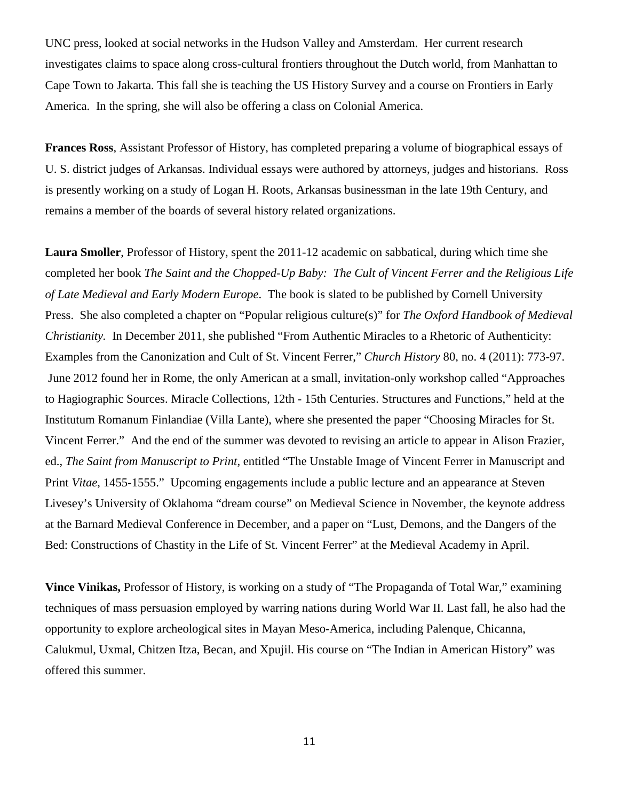UNC press, looked at social networks in the Hudson Valley and Amsterdam. Her current research investigates claims to space along cross-cultural frontiers throughout the Dutch world, from Manhattan to Cape Town to Jakarta. This fall she is teaching the US History Survey and a course on Frontiers in Early America. In the spring, she will also be offering a class on Colonial America.

**Frances Ross**, Assistant Professor of History, has completed preparing a volume of biographical essays of U. S. district judges of Arkansas. Individual essays were authored by attorneys, judges and historians. Ross is presently working on a study of Logan H. Roots, Arkansas businessman in the late 19th Century, and remains a member of the boards of several history related organizations.

**Laura Smoller**, Professor of History, spent the 2011-12 academic on sabbatical, during which time she completed her book *The Saint and the Chopped-Up Baby: The Cult of Vincent Ferrer and the Religious Life of Late Medieval and Early Modern Europe*. The book is slated to be published by Cornell University Press. She also completed a chapter on "Popular religious culture(s)" for *The Oxford Handbook of Medieval Christianity.* In December 2011, she published "From Authentic Miracles to a Rhetoric of Authenticity: Examples from the Canonization and Cult of St. Vincent Ferrer," *Church History* 80, no. 4 (2011): 773-97. June 2012 found her in Rome, the only American at a small, invitation-only workshop called "Approaches to Hagiographic Sources. Miracle Collections, 12th - 15th Centuries. Structures and Functions," held at the Institutum Romanum Finlandiae (Villa Lante), where she presented the paper "Choosing Miracles for St. Vincent Ferrer." And the end of the summer was devoted to revising an article to appear in Alison Frazier, ed., *The Saint from Manuscript to Print*, entitled "The Unstable Image of Vincent Ferrer in Manuscript and Print *Vitae*, 1455-1555." Upcoming engagements include a public lecture and an appearance at Steven Livesey's University of Oklahoma "dream course" on Medieval Science in November, the keynote address at the Barnard Medieval Conference in December, and a paper on "Lust, Demons, and the Dangers of the Bed: Constructions of Chastity in the Life of St. Vincent Ferrer" at the Medieval Academy in April.

**Vince Vinikas,** Professor of History, is working on a study of "The Propaganda of Total War," examining techniques of mass persuasion employed by warring nations during World War II. Last fall, he also had the opportunity to explore archeological sites in Mayan Meso-America, including Palenque, Chicanna, Calukmul, Uxmal, Chitzen Itza, Becan, and Xpujil. His course on "The Indian in American History" was offered this summer.

11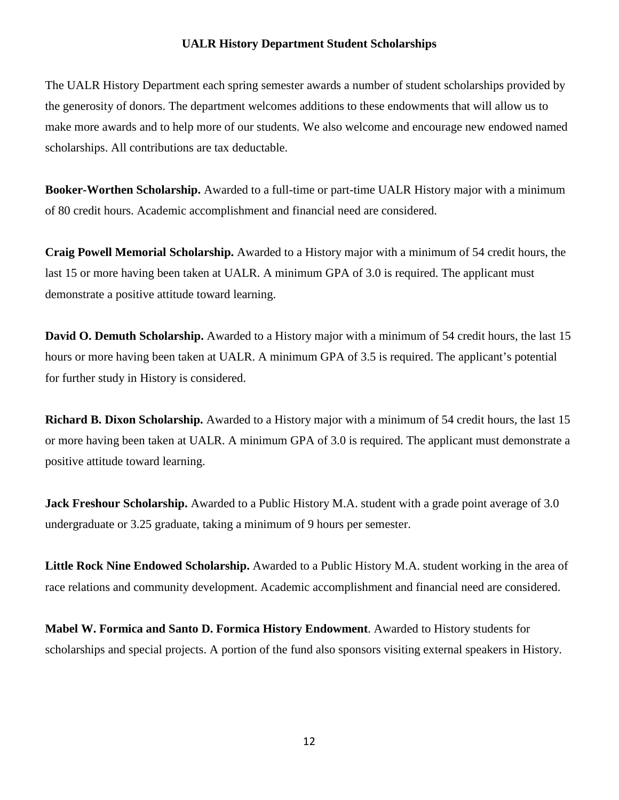#### **UALR History Department Student Scholarships**

The UALR History Department each spring semester awards a number of student scholarships provided by the generosity of donors. The department welcomes additions to these endowments that will allow us to make more awards and to help more of our students. We also welcome and encourage new endowed named scholarships. All contributions are tax deductable.

**Booker-Worthen Scholarship.** Awarded to a full-time or part-time UALR History major with a minimum of 80 credit hours. Academic accomplishment and financial need are considered.

**Craig Powell Memorial Scholarship.** Awarded to a History major with a minimum of 54 credit hours, the last 15 or more having been taken at UALR. A minimum GPA of 3.0 is required. The applicant must demonstrate a positive attitude toward learning.

**David O. Demuth Scholarship.** Awarded to a History major with a minimum of 54 credit hours, the last 15 hours or more having been taken at UALR. A minimum GPA of 3.5 is required. The applicant's potential for further study in History is considered.

**Richard B. Dixon Scholarship.** Awarded to a History major with a minimum of 54 credit hours, the last 15 or more having been taken at UALR. A minimum GPA of 3.0 is required. The applicant must demonstrate a positive attitude toward learning.

**Jack Freshour Scholarship.** Awarded to a Public History M.A. student with a grade point average of 3.0 undergraduate or 3.25 graduate, taking a minimum of 9 hours per semester.

**Little Rock Nine Endowed Scholarship.** Awarded to a Public History M.A. student working in the area of race relations and community development. Academic accomplishment and financial need are considered.

**Mabel W. Formica and Santo D. Formica History Endowment**. Awarded to History students for scholarships and special projects. A portion of the fund also sponsors visiting external speakers in History.